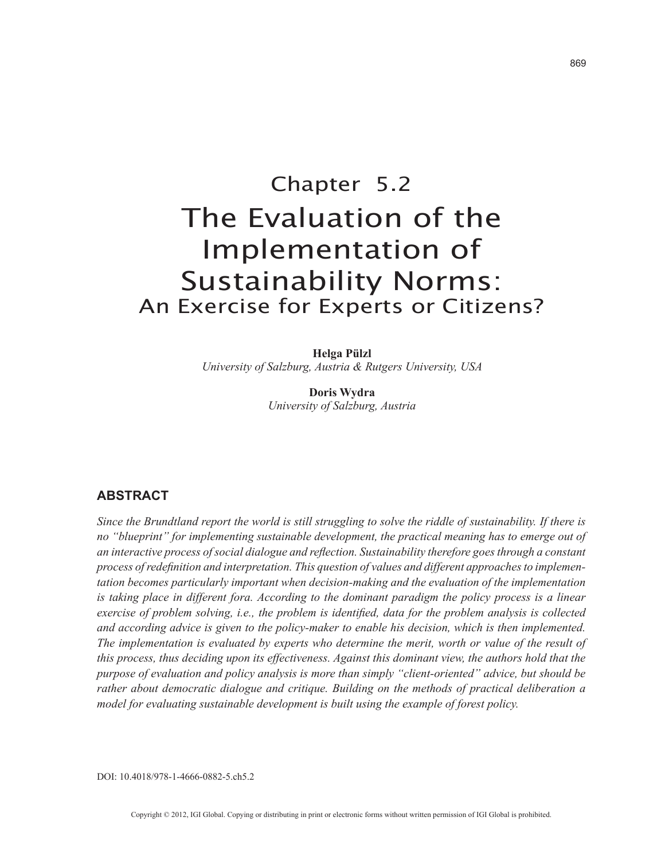# Chapter 5.2 The Evaluation of the Implementation of Sustainability Norms: An Exercise for Experts or Citizens?

**Helga Pülzl** *University of Salzburg, Austria & Rutgers University, USA*

> **Doris Wydra** *University of Salzburg, Austria*

# **ABSTRACT**

*Since the Brundtland report the world is still struggling to solve the riddle of sustainability. If there is no "blueprint" for implementing sustainable development, the practical meaning has to emerge out of an interactive process of social dialogue and reflection. Sustainability therefore goes through a constant process of redefinition and interpretation. This question of values and different approaches to implementation becomes particularly important when decision-making and the evaluation of the implementation is taking place in different fora. According to the dominant paradigm the policy process is a linear exercise of problem solving, i.e., the problem is identified, data for the problem analysis is collected and according advice is given to the policy-maker to enable his decision, which is then implemented. The implementation is evaluated by experts who determine the merit, worth or value of the result of this process, thus deciding upon its effectiveness. Against this dominant view, the authors hold that the purpose of evaluation and policy analysis is more than simply "client-oriented" advice, but should be rather about democratic dialogue and critique. Building on the methods of practical deliberation a model for evaluating sustainable development is built using the example of forest policy.*

DOI: 10.4018/978-1-4666-0882-5.ch5.2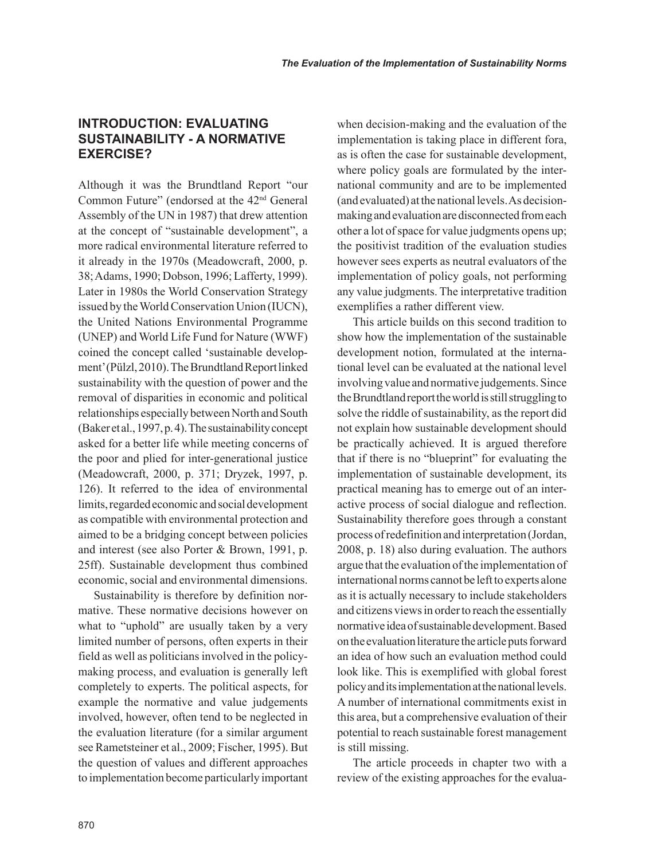# **INTRODUCTION: EVALUATING SUSTAINABILITY - A NORMATIVE EXERCISE?**

Although it was the Brundtland Report "our Common Future" (endorsed at the 42nd General Assembly of the UN in 1987) that drew attention at the concept of "sustainable development", a more radical environmental literature referred to it already in the 1970s (Meadowcraft, 2000, p. 38; Adams, 1990; Dobson, 1996; Lafferty, 1999). Later in 1980s the World Conservation Strategy issued by the World Conservation Union (IUCN), the United Nations Environmental Programme (UNEP) and World Life Fund for Nature (WWF) coined the concept called 'sustainable development' (Pülzl, 2010). The Brundtland Report linked sustainability with the question of power and the removal of disparities in economic and political relationships especially between North and South (Baker et al., 1997, p. 4). The sustainability concept asked for a better life while meeting concerns of the poor and plied for inter-generational justice (Meadowcraft, 2000, p. 371; Dryzek, 1997, p. 126). It referred to the idea of environmental limits, regarded economic and social development as compatible with environmental protection and aimed to be a bridging concept between policies and interest (see also Porter & Brown, 1991, p. 25ff). Sustainable development thus combined economic, social and environmental dimensions.

Sustainability is therefore by definition normative. These normative decisions however on what to "uphold" are usually taken by a very limited number of persons, often experts in their field as well as politicians involved in the policymaking process, and evaluation is generally left completely to experts. The political aspects, for example the normative and value judgements involved, however, often tend to be neglected in the evaluation literature (for a similar argument see Rametsteiner et al., 2009; Fischer, 1995). But the question of values and different approaches to implementation become particularly important when decision-making and the evaluation of the implementation is taking place in different fora, as is often the case for sustainable development, where policy goals are formulated by the international community and are to be implemented (and evaluated) at the national levels. As decisionmaking and evaluation are disconnected from each other a lot of space for value judgments opens up; the positivist tradition of the evaluation studies however sees experts as neutral evaluators of the implementation of policy goals, not performing any value judgments. The interpretative tradition exemplifies a rather different view.

This article builds on this second tradition to show how the implementation of the sustainable development notion, formulated at the international level can be evaluated at the national level involving value and normative judgements. Since the Brundtland report the world is still struggling to solve the riddle of sustainability, as the report did not explain how sustainable development should be practically achieved. It is argued therefore that if there is no "blueprint" for evaluating the implementation of sustainable development, its practical meaning has to emerge out of an interactive process of social dialogue and reflection. Sustainability therefore goes through a constant process of redefinition and interpretation (Jordan, 2008, p. 18) also during evaluation. The authors argue that the evaluation of the implementation of international norms cannot be left to experts alone as it is actually necessary to include stakeholders and citizens views in order to reach the essentially normative idea of sustainable development. Based on the evaluation literature the article puts forward an idea of how such an evaluation method could look like. This is exemplified with global forest policy and its implementation at the national levels. A number of international commitments exist in this area, but a comprehensive evaluation of their potential to reach sustainable forest management is still missing.

The article proceeds in chapter two with a review of the existing approaches for the evalua